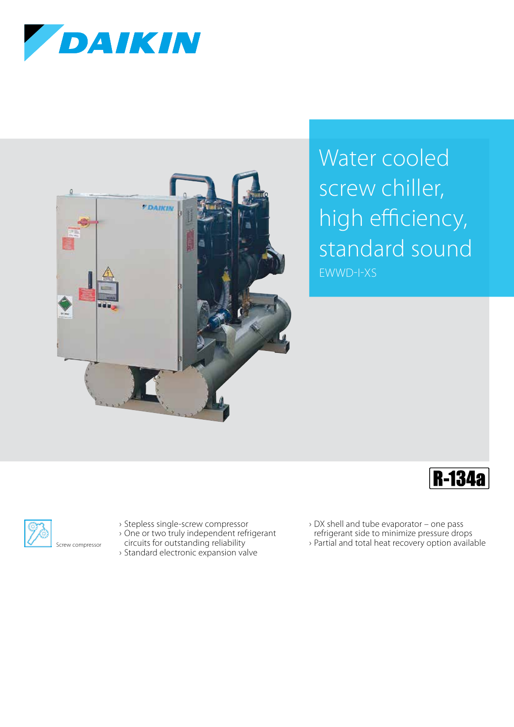



## Water cooled screw chiller, high efficiency, standard sound EWWD-I-XS





- › Stepless single-screw compressor
- › One or two truly independent refrigerant
- circuits for outstanding reliability
- › Standard electronic expansion valve
- › DX shell and tube evaporator one pass
- refrigerant side to minimize pressure drops
- › Partial and total heat recovery option available